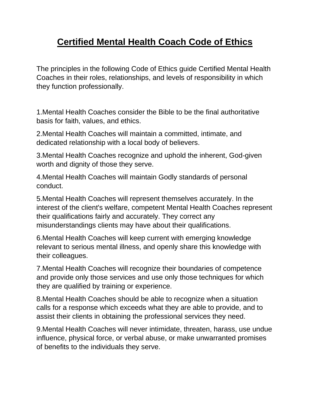## **Certified Mental Health Coach Code of Ethics**

The principles in the following Code of Ethics guide Certified Mental Health Coaches in their roles, relationships, and levels of responsibility in which they function professionally.

1.Mental Health Coaches consider the Bible to be the final authoritative basis for faith, values, and ethics.

2.Mental Health Coaches will maintain a committed, intimate, and dedicated relationship with a local body of believers.

3.Mental Health Coaches recognize and uphold the inherent, God-given worth and dignity of those they serve.

4.Mental Health Coaches will maintain Godly standards of personal conduct.

5.Mental Health Coaches will represent themselves accurately. In the interest of the client's welfare, competent Mental Health Coaches represent their qualifications fairly and accurately. They correct any misunderstandings clients may have about their qualifications.

6.Mental Health Coaches will keep current with emerging knowledge relevant to serious mental illness, and openly share this knowledge with their colleagues.

7.Mental Health Coaches will recognize their boundaries of competence and provide only those services and use only those techniques for which they are qualified by training or experience.

8.Mental Health Coaches should be able to recognize when a situation calls for a response which exceeds what they are able to provide, and to assist their clients in obtaining the professional services they need.

9.Mental Health Coaches will never intimidate, threaten, harass, use undue influence, physical force, or verbal abuse, or make unwarranted promises of benefits to the individuals they serve.